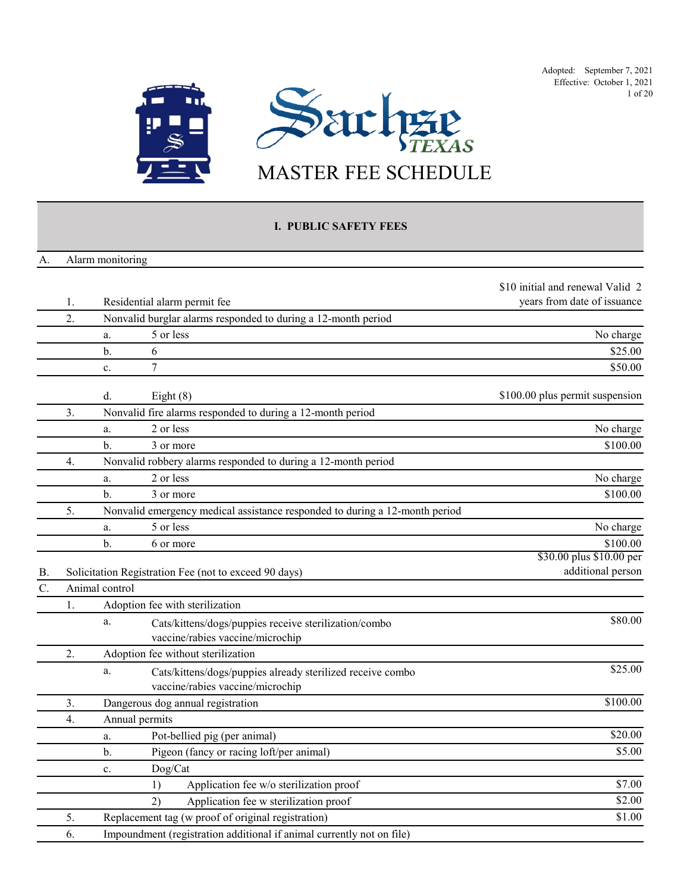Adopted: September 7, 2021 Effective: October 1, 2021 1 of 20



## **I. PUBLIC SAFETY FEES**

A. Alarm monitoring

|                                                             | 1.               |                                   | Residential alarm permit fee                                                | \$10 initial and renewal Valid 2<br>years from date of issuance |
|-------------------------------------------------------------|------------------|-----------------------------------|-----------------------------------------------------------------------------|-----------------------------------------------------------------|
|                                                             | $\overline{2}$ . |                                   | Nonvalid burglar alarms responded to during a 12-month period               |                                                                 |
|                                                             |                  | a.                                | 5 or less                                                                   | No charge                                                       |
|                                                             |                  | $b$ .                             | 6                                                                           | \$25.00                                                         |
|                                                             |                  | c.                                | 7                                                                           | \$50.00                                                         |
|                                                             |                  | d.                                | Eight $(8)$                                                                 | \$100.00 plus permit suspension                                 |
|                                                             | 3.               |                                   | Nonvalid fire alarms responded to during a 12-month period                  |                                                                 |
|                                                             |                  | a.                                | 2 or less                                                                   | No charge                                                       |
|                                                             |                  | b.                                | 3 or more                                                                   | \$100.00                                                        |
|                                                             | 4.               |                                   | Nonvalid robbery alarms responded to during a 12-month period               |                                                                 |
|                                                             |                  | a.                                | 2 or less                                                                   | No charge                                                       |
|                                                             |                  | b.                                | 3 or more                                                                   | \$100.00                                                        |
|                                                             | 5.               |                                   | Nonvalid emergency medical assistance responded to during a 12-month period |                                                                 |
|                                                             |                  | a.                                | 5 or less                                                                   | No charge                                                       |
|                                                             |                  | b.                                | 6 or more                                                                   | \$100.00                                                        |
|                                                             |                  |                                   |                                                                             | \$30.00 plus \$10.00 per                                        |
| Solicitation Registration Fee (not to exceed 90 days)<br>В. |                  |                                   |                                                                             | additional person                                               |
| C.                                                          |                  | Animal control                    |                                                                             |                                                                 |
|                                                             | 1.               |                                   | Adoption fee with sterilization                                             |                                                                 |
|                                                             |                  | a.                                | Cats/kittens/dogs/puppies receive sterilization/combo                       | \$80.00                                                         |
|                                                             |                  |                                   | vaccine/rabies vaccine/microchip                                            |                                                                 |
|                                                             | 2.               |                                   | Adoption fee without sterilization                                          |                                                                 |
|                                                             |                  | a.                                | Cats/kittens/dogs/puppies already sterilized receive combo                  | \$25.00                                                         |
|                                                             |                  |                                   | vaccine/rabies vaccine/microchip                                            |                                                                 |
|                                                             | 3.               | Dangerous dog annual registration |                                                                             | \$100.00                                                        |
|                                                             | 4.               | Annual permits                    |                                                                             |                                                                 |
|                                                             |                  | a.                                | Pot-bellied pig (per animal)                                                | \$20.00                                                         |
|                                                             |                  | $b$                               | Pigeon (fancy or racing loft/per animal)                                    | \$5.00                                                          |
|                                                             |                  | c.                                | Dog/Cat                                                                     |                                                                 |
|                                                             |                  |                                   | Application fee w/o sterilization proof<br>1)                               | \$7.00                                                          |
|                                                             |                  |                                   | 2)<br>Application fee w sterilization proof                                 | \$2.00                                                          |
|                                                             | 5.               |                                   | Replacement tag (w proof of original registration)                          | \$1.00                                                          |
|                                                             | 6.               |                                   | Impoundment (registration additional if animal currently not on file)       |                                                                 |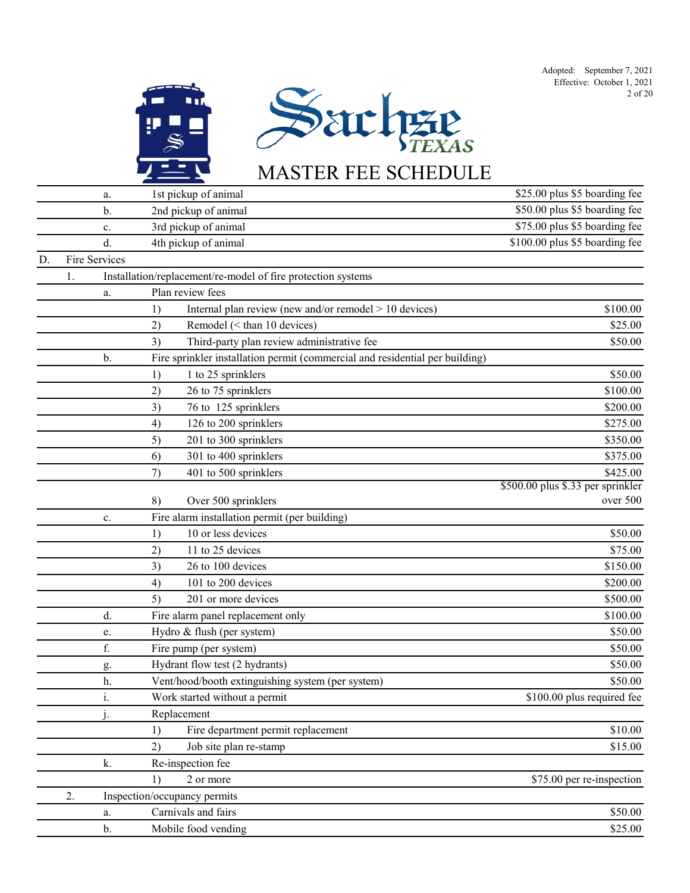Adopted: September 7, 2021 Effective: October 1, 2021 2 of 20





|    |    | a.            | 1st pickup of animal                                                         | \$25.00 plus \$5 boarding fee     |
|----|----|---------------|------------------------------------------------------------------------------|-----------------------------------|
|    |    | b.            | 2nd pickup of animal                                                         | \$50.00 plus \$5 boarding fee     |
|    |    | c.            | 3rd pickup of animal                                                         | \$75.00 plus \$5 boarding fee     |
|    |    | d.            | 4th pickup of animal                                                         | \$100.00 plus \$5 boarding fee    |
| D. |    | Fire Services |                                                                              |                                   |
|    | 1. |               | Installation/replacement/re-model of fire protection systems                 |                                   |
|    |    | a.            | Plan review fees                                                             |                                   |
|    |    |               | Internal plan review (new and/or remodel $> 10$ devices)<br>1)               | \$100.00                          |
|    |    |               | 2)<br>Remodel (< than 10 devices)                                            | \$25.00                           |
|    |    |               | 3)<br>Third-party plan review administrative fee                             | \$50.00                           |
|    |    | b.            | Fire sprinkler installation permit (commercial and residential per building) |                                   |
|    |    |               | 1 to 25 sprinklers<br>1)                                                     | \$50.00                           |
|    |    |               | 26 to 75 sprinklers<br>2)                                                    | \$100.00                          |
|    |    |               | 76 to 125 sprinklers<br>3)                                                   | \$200.00                          |
|    |    |               | 126 to 200 sprinklers<br>4)                                                  | \$275.00                          |
|    |    |               | 201 to 300 sprinklers<br>5)                                                  | \$350.00                          |
|    |    |               | 301 to 400 sprinklers<br>6)                                                  | \$375.00                          |
|    |    |               | 401 to 500 sprinklers<br>7)                                                  | \$425.00                          |
|    |    |               |                                                                              | \$500.00 plus \$.33 per sprinkler |
|    |    |               | 8)<br>Over 500 sprinklers                                                    | over 500                          |
|    |    | c.            | Fire alarm installation permit (per building)                                |                                   |
|    |    |               | 10 or less devices<br>1)                                                     | \$50.00                           |
|    |    |               | 11 to 25 devices<br>2)                                                       | \$75.00                           |
|    |    |               | 3)<br>26 to 100 devices                                                      | \$150.00                          |
|    |    |               | 101 to 200 devices<br>4)                                                     | \$200.00                          |
|    |    |               | 5)<br>201 or more devices                                                    | \$500.00                          |
|    |    | d.            | Fire alarm panel replacement only                                            | \$100.00                          |
|    |    | e.            | Hydro & flush (per system)                                                   | \$50.00                           |
|    |    | f.            | Fire pump (per system)                                                       | \$50.00                           |
|    |    | g.            | Hydrant flow test (2 hydrants)                                               | \$50.00                           |
|    |    | h.            | Vent/hood/booth extinguishing system (per system)                            | \$50.00                           |
|    |    | 1.            | Work started without a permit                                                | \$100.00 plus required fee        |
|    |    | j.            | Replacement                                                                  |                                   |
|    |    |               | Fire department permit replacement<br>1)                                     | \$10.00                           |
|    |    |               | 2)<br>Job site plan re-stamp                                                 | \$15.00                           |
|    |    | k.            | Re-inspection fee                                                            |                                   |
|    |    |               | 1)<br>2 or more                                                              | \$75.00 per re-inspection         |
|    | 2. |               | Inspection/occupancy permits                                                 |                                   |
|    |    | a.            | Carnivals and fairs                                                          | \$50.00                           |
|    |    | $\mathbf b$ . | Mobile food vending                                                          | \$25.00                           |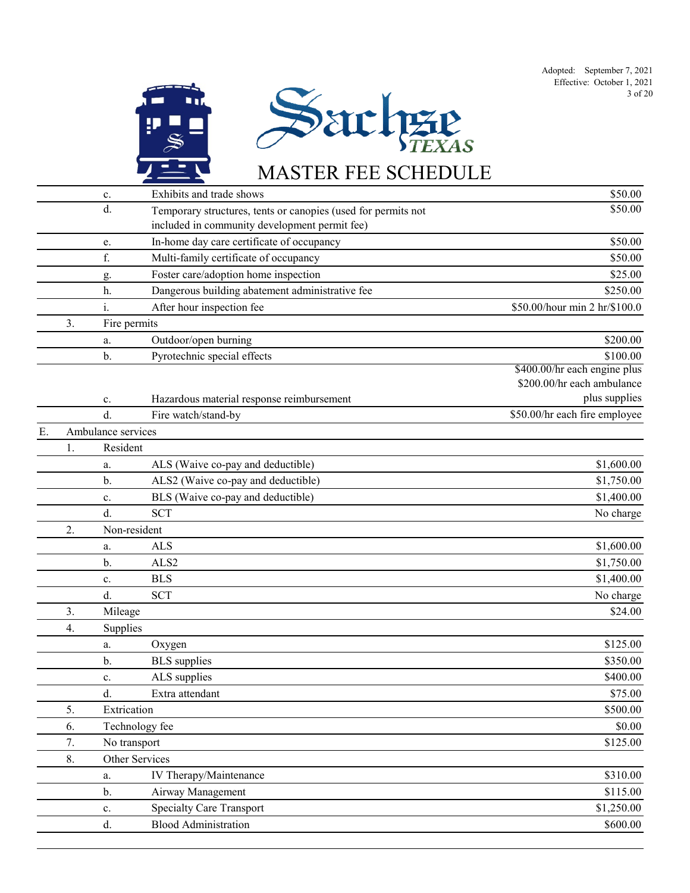Adopted: September 7, 2021 Effective: October 1, 2021 3 of 20





|    |    | c.                 | Exhibits and trade shows                                      | \$50.00                       |
|----|----|--------------------|---------------------------------------------------------------|-------------------------------|
|    |    | d.                 | Temporary structures, tents or canopies (used for permits not | \$50.00                       |
|    |    |                    | included in community development permit fee)                 |                               |
|    |    | e.                 | In-home day care certificate of occupancy                     | \$50.00                       |
|    |    | f.                 | Multi-family certificate of occupancy                         | \$50.00                       |
|    |    | g.                 | Foster care/adoption home inspection                          | \$25.00                       |
|    |    | h.                 | Dangerous building abatement administrative fee               | \$250.00                      |
|    |    | i.                 | After hour inspection fee                                     | \$50.00/hour min 2 hr/\$100.0 |
|    | 3. | Fire permits       |                                                               |                               |
|    |    | a.                 | Outdoor/open burning                                          | \$200.00                      |
|    |    | b.                 | Pyrotechnic special effects                                   | \$100.00                      |
|    |    |                    |                                                               | \$400.00/hr each engine plus  |
|    |    |                    |                                                               | \$200.00/hr each ambulance    |
|    |    | c.                 | Hazardous material response reimbursement                     | plus supplies                 |
|    |    | d.                 | Fire watch/stand-by                                           | \$50.00/hr each fire employee |
| E. |    | Ambulance services |                                                               |                               |
|    | 1. | Resident           |                                                               |                               |
|    |    | a.                 | ALS (Waive co-pay and deductible)                             | \$1,600.00                    |
|    |    | b.                 | ALS2 (Waive co-pay and deductible)                            | \$1,750.00                    |
|    |    | c.                 | BLS (Waive co-pay and deductible)                             | \$1,400.00                    |
|    |    | d.                 | <b>SCT</b>                                                    | No charge                     |
|    | 2. | Non-resident       |                                                               |                               |
|    |    | a.                 | <b>ALS</b>                                                    | \$1,600.00                    |
|    |    | b.                 | ALS2                                                          | \$1,750.00                    |
|    |    | c.                 | <b>BLS</b>                                                    | \$1,400.00                    |
|    |    | d.                 | <b>SCT</b>                                                    | No charge                     |
|    | 3. | Mileage            |                                                               | \$24.00                       |
|    | 4. | Supplies           |                                                               |                               |
|    |    | a.                 | Oxygen                                                        | \$125.00                      |
|    |    | b.                 | <b>BLS</b> supplies                                           | \$350.00                      |
|    |    | c.                 | ALS supplies                                                  | \$400.00                      |
|    |    | d.                 | Extra attendant                                               | \$75.00                       |
|    | 5. | Extrication        |                                                               | \$500.00                      |
|    | 6. | Technology fee     |                                                               | \$0.00                        |
|    | 7. | No transport       |                                                               | \$125.00                      |
|    | 8. | Other Services     |                                                               |                               |
|    |    | a.                 | IV Therapy/Maintenance                                        | \$310.00                      |
|    |    | b.                 | Airway Management                                             | \$115.00                      |
|    |    | $\mathbf{c}.$      | <b>Specialty Care Transport</b>                               | \$1,250.00                    |
|    |    | d.                 | <b>Blood Administration</b>                                   | \$600.00                      |
|    |    |                    |                                                               |                               |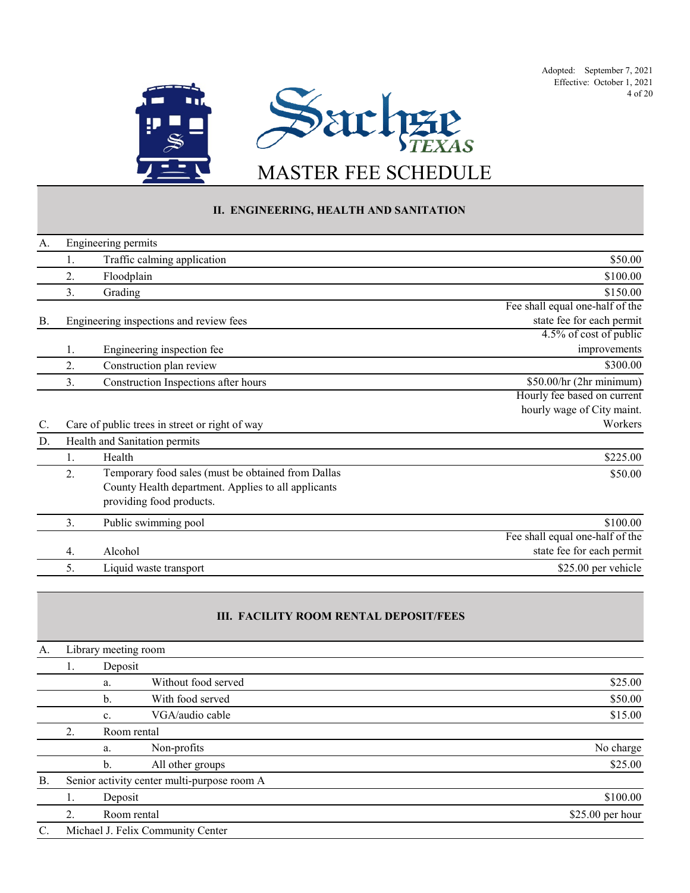Adopted: September 7, 2021 Effective: October 1, 2021 4 of 20



# **II. ENGINEERING, HEALTH AND SANITATION**

| A.        | Engineering permits                                       |                                                     |                                 |  |
|-----------|-----------------------------------------------------------|-----------------------------------------------------|---------------------------------|--|
|           | 1.                                                        | Traffic calming application                         | \$50.00                         |  |
|           | 2.                                                        | Floodplain                                          | \$100.00                        |  |
|           | 3.                                                        | Grading                                             | \$150.00                        |  |
|           |                                                           |                                                     | Fee shall equal one-half of the |  |
| <b>B.</b> |                                                           | Engineering inspections and review fees             | state fee for each permit       |  |
|           |                                                           |                                                     | 4.5% of cost of public          |  |
|           | 1.                                                        | Engineering inspection fee                          | improvements                    |  |
|           | 2.                                                        | Construction plan review                            | \$300.00                        |  |
|           | 3.                                                        | Construction Inspections after hours                | \$50.00/hr (2hr minimum)        |  |
|           |                                                           |                                                     | Hourly fee based on current     |  |
|           |                                                           |                                                     | hourly wage of City maint.      |  |
| C.        | Workers<br>Care of public trees in street or right of way |                                                     |                                 |  |
| D.        |                                                           | Health and Sanitation permits                       |                                 |  |
|           | 1.                                                        | Health                                              | \$225.00                        |  |
|           | 2.                                                        | Temporary food sales (must be obtained from Dallas  | \$50.00                         |  |
|           |                                                           | County Health department. Applies to all applicants |                                 |  |
|           |                                                           | providing food products.                            |                                 |  |
|           | 3.                                                        | Public swimming pool                                | \$100.00                        |  |
|           |                                                           |                                                     | Fee shall equal one-half of the |  |
|           | 4.                                                        | Alcohol                                             | state fee for each permit       |  |
|           | 5.                                                        | Liquid waste transport                              | \$25.00 per vehicle             |  |
|           |                                                           |                                                     |                                 |  |
|           |                                                           |                                                     |                                 |  |

# **III. FACILITY ROOM RENTAL DEPOSIT/FEES**

| А.             |                                             | Library meeting room |                     |                   |  |  |
|----------------|---------------------------------------------|----------------------|---------------------|-------------------|--|--|
|                | ı.                                          | Deposit              |                     |                   |  |  |
|                |                                             | a.                   | Without food served | \$25.00           |  |  |
|                |                                             | b.                   | With food served    | \$50.00           |  |  |
|                |                                             | c.                   | VGA/audio cable     | \$15.00           |  |  |
|                | 2.<br>Room rental                           |                      |                     |                   |  |  |
|                |                                             | a.                   | Non-profits         | No charge         |  |  |
|                |                                             | b.                   | All other groups    | \$25.00           |  |  |
| <b>B.</b>      | Senior activity center multi-purpose room A |                      |                     |                   |  |  |
|                | ı.                                          | Deposit              |                     | \$100.00          |  |  |
|                | 2.                                          |                      | Room rental         | $$25.00$ per hour |  |  |
| $\mathbf{C}$ . | Michael J. Felix Community Center           |                      |                     |                   |  |  |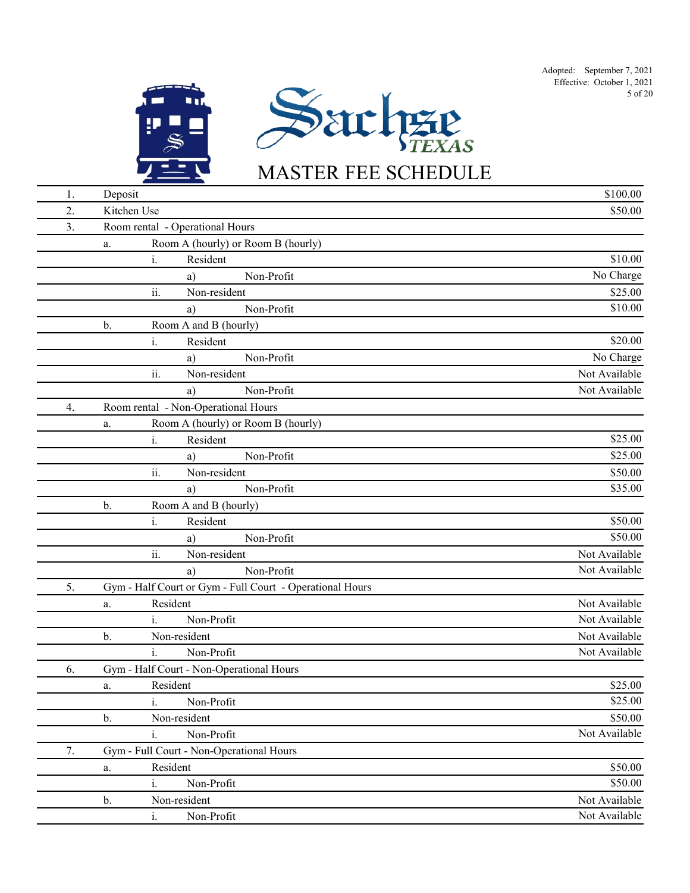Adopted: September 7, 2021 Effective: October 1, 2021 5 of 20





| 1. | Deposit                                                  | \$100.00      |
|----|----------------------------------------------------------|---------------|
| 2. | Kitchen Use                                              | \$50.00       |
| 3. | Room rental - Operational Hours                          |               |
|    | Room A (hourly) or Room B (hourly)<br>a.                 |               |
|    | $\mathbf{i}$ .<br>Resident                               | \$10.00       |
|    | Non-Profit<br>a)                                         | No Charge     |
|    | ii.<br>Non-resident                                      | \$25.00       |
|    | Non-Profit<br>a)                                         | \$10.00       |
|    | Room A and B (hourly)<br>b.                              |               |
|    | $\mathbf{i}$ .<br>Resident                               | \$20.00       |
|    | Non-Profit<br>a)                                         | No Charge     |
|    | $\dddot{\mathbf{1}}$<br>Non-resident                     | Not Available |
|    | Non-Profit<br>a)                                         | Not Available |
| 4. | Room rental - Non-Operational Hours                      |               |
|    | Room A (hourly) or Room B (hourly)<br>a.                 |               |
|    | Resident<br>i.                                           | \$25.00       |
|    | Non-Profit<br>a)                                         | \$25.00       |
|    | ii.<br>Non-resident                                      | \$50.00       |
|    | Non-Profit<br>a)                                         | \$35.00       |
|    | Room A and B (hourly)<br>b.                              |               |
|    | Resident<br>i.                                           | \$50.00       |
|    | Non-Profit<br>a)                                         | \$50.00       |
|    | ii.<br>Non-resident                                      | Not Available |
|    | Non-Profit<br>a)                                         | Not Available |
| 5. | Gym - Half Court or Gym - Full Court - Operational Hours |               |
|    | Resident<br>a.                                           | Not Available |
|    | i.<br>Non-Profit                                         | Not Available |
|    | Non-resident<br>b.                                       | Not Available |
|    | $\mathbf{i}$ .<br>Non-Profit                             | Not Available |
| 6. | Gym - Half Court - Non-Operational Hours                 |               |
|    | Resident<br>a.                                           | \$25.00       |
|    | Non-Profit<br>i.                                         | \$25.00       |
|    | Non-resident<br>$\mathbf b$ .                            | \$50.00       |
|    | $\mathbf{i}$ .<br>Non-Profit                             | Not Available |
| 7. | Gym - Full Court - Non-Operational Hours                 |               |
|    | Resident<br>a.                                           | \$50.00       |
|    | i.<br>Non-Profit                                         | \$50.00       |
|    | Non-resident<br>$\mathbf b$ .                            | Not Available |
|    | Non-Profit<br>$\mathbf{i}$ .                             | Not Available |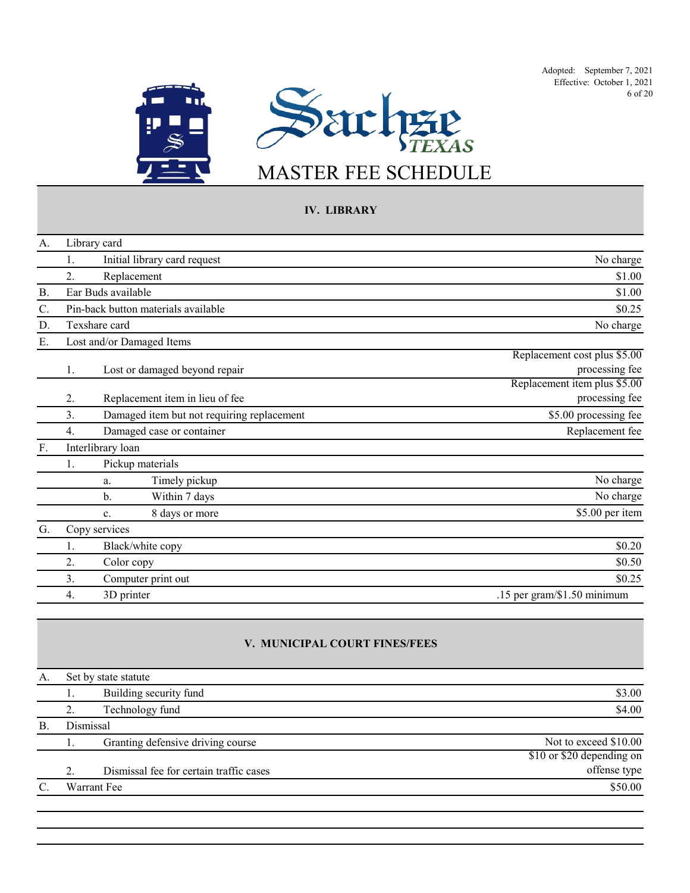Adopted: September 7, 2021 Effective: October 1, 2021 6 of 20



# **IV. LIBRARY**

| А.        |                  | Library card                               |                              |
|-----------|------------------|--------------------------------------------|------------------------------|
|           | 1.               | Initial library card request               | No charge                    |
|           | $\overline{2}$ . | Replacement                                | \$1.00                       |
| <b>B.</b> |                  | Ear Buds available                         | \$1.00                       |
| C.        |                  | Pin-back button materials available        | \$0.25                       |
| D.        |                  | Texshare card                              | No charge                    |
| Ε.        |                  | Lost and/or Damaged Items                  |                              |
|           |                  |                                            | Replacement cost plus \$5.00 |
|           | 1.               | Lost or damaged beyond repair              | processing fee               |
|           |                  |                                            | Replacement item plus \$5.00 |
|           | 2.               | Replacement item in lieu of fee            | processing fee               |
|           | 3.               | Damaged item but not requiring replacement | \$5.00 processing fee        |
|           | 4.               | Damaged case or container                  | Replacement fee              |
| F.        |                  | Interlibrary loan                          |                              |
|           | 1.               | Pickup materials                           |                              |
|           |                  | Timely pickup<br>a.                        | No charge                    |
|           |                  | Within 7 days<br>$b$                       | No charge                    |
|           |                  | 8 days or more<br>$\mathbf{c}$ .           | \$5.00 per item              |
| G.        |                  | Copy services                              |                              |
|           | 1.               | Black/white copy                           | \$0.20                       |
|           | 2.               | Color copy                                 | \$0.50                       |
|           | 3.               | Computer print out                         | \$0.25                       |
|           | 4.               | 3D printer                                 | .15 per gram/\$1.50 minimum  |
|           |                  |                                            |                              |

### **V. MUNICIPAL COURT FINES/FEES**

| Set by state statute<br>А. |             |                                         |                           |
|----------------------------|-------------|-----------------------------------------|---------------------------|
|                            | I.          | Building security fund                  | \$3.00                    |
|                            | 2.          | Technology fund                         | \$4.00                    |
| В.                         |             | Dismissal                               |                           |
|                            | ı.          | Granting defensive driving course       | Not to exceed \$10.00     |
|                            |             |                                         | \$10 or \$20 depending on |
|                            | 2.          | Dismissal fee for certain traffic cases | offense type              |
|                            | Warrant Fee |                                         | \$50.00                   |
|                            |             |                                         |                           |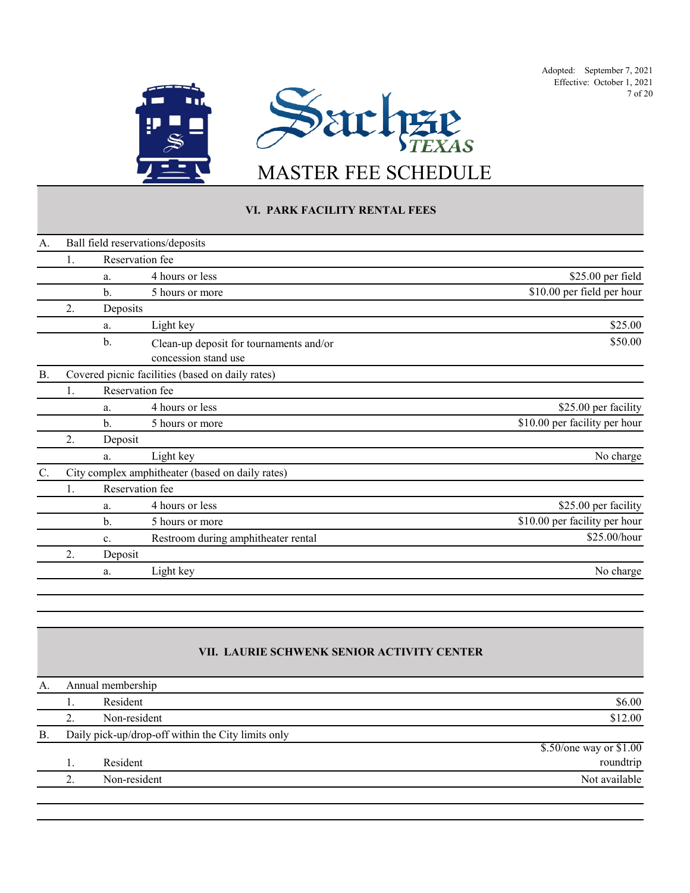Adopted: September 7, 2021 Effective: October 1, 2021 7 of 20



## **VI. PARK FACILITY RENTAL FEES**

| A. |                                                  | Ball field reservations/deposits |                                                                 |                               |  |
|----|--------------------------------------------------|----------------------------------|-----------------------------------------------------------------|-------------------------------|--|
|    |                                                  | Reservation fee                  |                                                                 |                               |  |
|    |                                                  | a.                               | 4 hours or less                                                 | \$25.00 per field             |  |
|    |                                                  | b.                               | 5 hours or more                                                 | \$10.00 per field per hour    |  |
|    | 2.                                               | Deposits                         |                                                                 |                               |  |
|    |                                                  | a.                               | Light key                                                       | \$25.00                       |  |
|    |                                                  | b.                               | Clean-up deposit for tournaments and/or<br>concession stand use | \$50.00                       |  |
| Β. | Covered picnic facilities (based on daily rates) |                                  |                                                                 |                               |  |
|    | 1.                                               | Reservation fee                  |                                                                 |                               |  |
|    |                                                  | a.                               | 4 hours or less                                                 | \$25.00 per facility          |  |
|    |                                                  | b.                               | 5 hours or more                                                 | \$10.00 per facility per hour |  |
|    | 2.                                               | Deposit                          |                                                                 |                               |  |
|    |                                                  | a.                               | Light key                                                       | No charge                     |  |
| C. | City complex amphitheater (based on daily rates) |                                  |                                                                 |                               |  |
|    |                                                  | Reservation fee                  |                                                                 |                               |  |
|    |                                                  | a.                               | 4 hours or less                                                 | \$25.00 per facility          |  |
|    |                                                  | b.                               | 5 hours or more                                                 | \$10.00 per facility per hour |  |
|    |                                                  | c.                               | Restroom during amphitheater rental                             | \$25.00/hour                  |  |
|    | 2.                                               | Deposit                          |                                                                 |                               |  |
|    |                                                  | a.                               | Light key                                                       | No charge                     |  |

|    | VII. LAURIE SCHWENK SENIOR ACTIVITY CENTER |                                                    |                         |  |  |  |  |
|----|--------------------------------------------|----------------------------------------------------|-------------------------|--|--|--|--|
| А. | Annual membership                          |                                                    |                         |  |  |  |  |
|    | 1.                                         | Resident                                           | \$6.00                  |  |  |  |  |
|    | 2.                                         | Non-resident                                       | \$12.00                 |  |  |  |  |
| В. |                                            | Daily pick-up/drop-off within the City limits only |                         |  |  |  |  |
|    |                                            |                                                    | \$.50/one way or \$1.00 |  |  |  |  |
|    | 1.                                         | Resident                                           | roundtrip               |  |  |  |  |
|    | 2.                                         | Non-resident                                       | Not available           |  |  |  |  |
|    |                                            |                                                    |                         |  |  |  |  |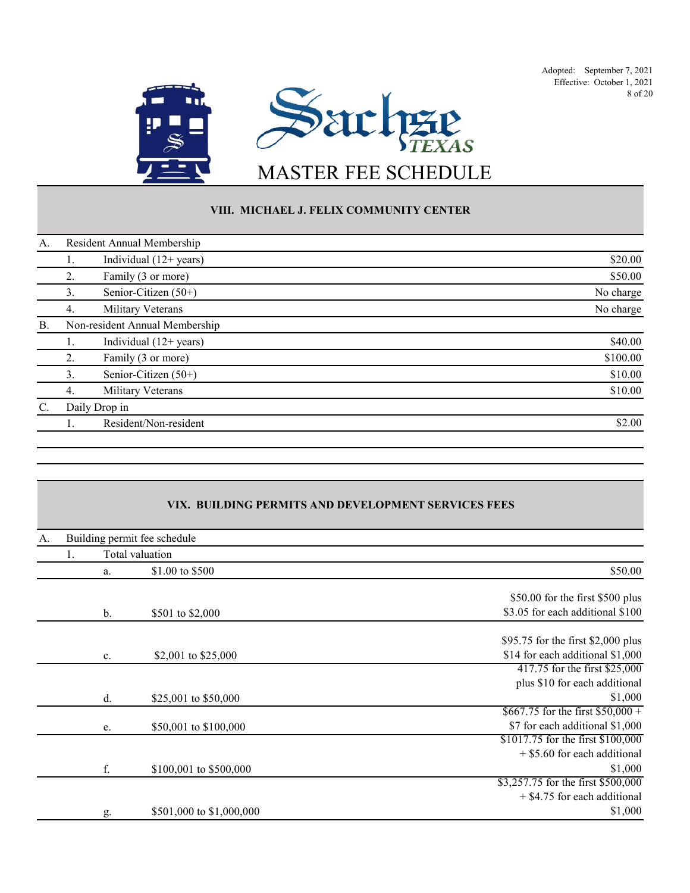Adopted: September 7, 2021 Effective: October 1, 2021 8 of 20



# **VIII. MICHAEL J. FELIX COMMUNITY CENTER**

| Resident Annual Membership<br>А. |    |                                |           |
|----------------------------------|----|--------------------------------|-----------|
|                                  | ı. | Individual $(12+)$ years)      | \$20.00   |
|                                  | 2. | Family (3 or more)             | \$50.00   |
|                                  | 3. | Senior-Citizen (50+)           | No charge |
|                                  | 4. | Military Veterans              | No charge |
| <b>B.</b>                        |    | Non-resident Annual Membership |           |
|                                  | 1. | Individual $(12 + years)$      | \$40.00   |
|                                  | 2. | Family (3 or more)             | \$100.00  |
|                                  | 3. | Senior-Citizen (50+)           | \$10.00   |
|                                  | 4. | Military Veterans              | \$10.00   |
| $\mathbf{C}$ .                   |    | Daily Drop in                  |           |
|                                  |    | Resident/Non-resident          | \$2.00    |

# **VIX. BUILDING PERMITS AND DEVELOPMENT SERVICES FEES**

| А. |    |    | Building permit fee schedule |                                    |
|----|----|----|------------------------------|------------------------------------|
|    | 1. |    | Total valuation              |                                    |
|    |    | a. | \$1.00 to \$500              | \$50.00                            |
|    |    |    |                              | \$50.00 for the first \$500 plus   |
|    |    | b. | \$501 to \$2,000             | \$3.05 for each additional \$100   |
|    |    |    |                              | \$95.75 for the first \$2,000 plus |
|    |    | c. | \$2,001 to \$25,000          | \$14 for each additional \$1,000   |
|    |    |    |                              | 417.75 for the first \$25,000      |
|    |    |    |                              | plus \$10 for each additional      |
|    |    | d. | \$25,001 to \$50,000         | \$1,000                            |
|    |    |    |                              | \$667.75 for the first $$50,000 +$ |
|    |    | e. | \$50,001 to \$100,000        | \$7 for each additional \$1,000    |
|    |    |    |                              | \$1017.75 for the first \$100,000  |
|    |    |    |                              | $+$ \$5.60 for each additional     |
|    |    | f. | \$100,001 to \$500,000       | \$1,000                            |
|    |    |    |                              | \$3,257.75 for the first \$500,000 |
|    |    |    |                              | + \$4.75 for each additional       |
|    |    | g. | \$501,000 to \$1,000,000     | \$1,000                            |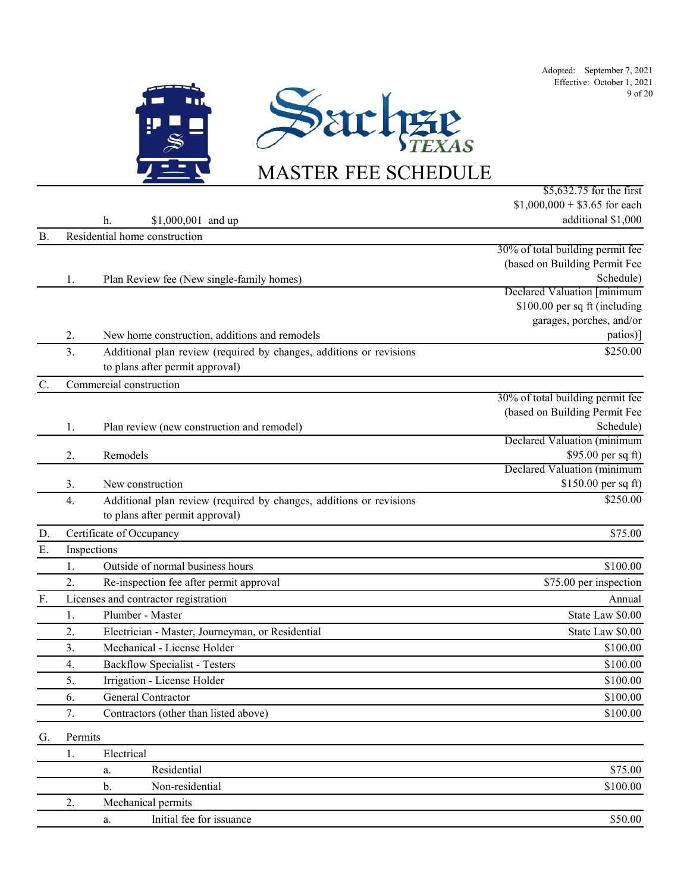Adopted: September 7, 2021 Effective: October 1, 2021 9 of 20



|    |                  |                                                                                                        | \$5,632.75 for the first                                  |  |  |  |
|----|------------------|--------------------------------------------------------------------------------------------------------|-----------------------------------------------------------|--|--|--|
|    |                  |                                                                                                        | $$1,000,000 + $3.65$ for each                             |  |  |  |
|    |                  | h.<br>\$1,000,001 and up                                                                               | additional \$1,000                                        |  |  |  |
| Β. |                  | Residential home construction                                                                          |                                                           |  |  |  |
|    |                  |                                                                                                        | 30% of total building permit fee                          |  |  |  |
|    |                  |                                                                                                        | (based on Building Permit Fee                             |  |  |  |
|    | 1.               | Plan Review fee (New single-family homes)                                                              | Schedule)                                                 |  |  |  |
|    |                  |                                                                                                        | Declared Valuation [minimum                               |  |  |  |
|    |                  |                                                                                                        | \$100.00 per sq ft (including<br>garages, porches, and/or |  |  |  |
|    |                  |                                                                                                        |                                                           |  |  |  |
|    | 2.               | New home construction, additions and remodels                                                          | patios)]                                                  |  |  |  |
|    | 3.               | Additional plan review (required by changes, additions or revisions<br>to plans after permit approval) | \$250.00                                                  |  |  |  |
| C. |                  | Commercial construction                                                                                |                                                           |  |  |  |
|    |                  |                                                                                                        | 30% of total building permit fee                          |  |  |  |
|    |                  |                                                                                                        | (based on Building Permit Fee                             |  |  |  |
|    | 1.               | Plan review (new construction and remodel)                                                             | Schedule)                                                 |  |  |  |
|    |                  |                                                                                                        | Declared Valuation (minimum                               |  |  |  |
|    | 2.               | Remodels                                                                                               | \$95.00 per sq ft)                                        |  |  |  |
|    |                  |                                                                                                        | Declared Valuation (minimum                               |  |  |  |
|    | 3.               | New construction                                                                                       | \$150.00 per sq ft)                                       |  |  |  |
|    | $\overline{4}$ . | Additional plan review (required by changes, additions or revisions<br>to plans after permit approval) | \$250.00                                                  |  |  |  |
| D. |                  | Certificate of Occupancy                                                                               | \$75.00                                                   |  |  |  |
| E. |                  | Inspections                                                                                            |                                                           |  |  |  |
|    | 1.               | Outside of normal business hours                                                                       | \$100.00                                                  |  |  |  |
|    | 2.               | Re-inspection fee after permit approval                                                                | \$75.00 per inspection                                    |  |  |  |
| F. |                  | Licenses and contractor registration                                                                   | Annual                                                    |  |  |  |
|    | 1.               | Plumber - Master                                                                                       | State Law \$0.00                                          |  |  |  |
|    | 2.               | Electrician - Master, Journeyman, or Residential                                                       | State Law \$0.00                                          |  |  |  |
|    | 3.               | Mechanical - License Holder                                                                            | \$100.00                                                  |  |  |  |
|    | 4.               | <b>Backflow Specialist - Testers</b>                                                                   | \$100.00                                                  |  |  |  |
|    | 5.               | Irrigation - License Holder                                                                            | \$100.00                                                  |  |  |  |
|    | 6.               | General Contractor                                                                                     | \$100.00                                                  |  |  |  |
|    | 7.               | Contractors (other than listed above)                                                                  | \$100.00                                                  |  |  |  |
| G. | Permits          |                                                                                                        |                                                           |  |  |  |
|    | 1.               | Electrical                                                                                             |                                                           |  |  |  |
|    |                  | Residential<br>a.                                                                                      | \$75.00                                                   |  |  |  |
|    |                  | Non-residential<br>b.                                                                                  | \$100.00                                                  |  |  |  |
|    | $\gamma$         | Machanical narmits                                                                                     |                                                           |  |  |  |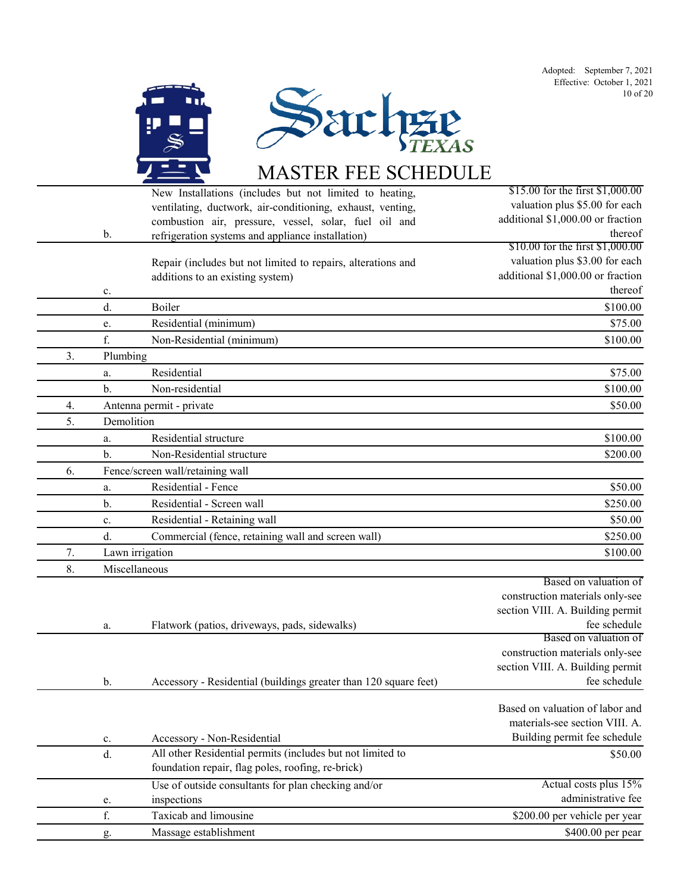Adopted: September 7, 2021 Effective: October 1, 2021 10 of 20





|    |            | New Installations (includes but not limited to heating,          | \$15.00 for the first \$1,000.00  |
|----|------------|------------------------------------------------------------------|-----------------------------------|
|    |            | ventilating, ductwork, air-conditioning, exhaust, venting,       | valuation plus \$5.00 for each    |
|    |            | combustion air, pressure, vessel, solar, fuel oil and            | additional \$1,000.00 or fraction |
|    | b.         | refrigeration systems and appliance installation)                | thereof                           |
|    |            |                                                                  | \$10.00 for the first \$1,000.00  |
|    |            | Repair (includes but not limited to repairs, alterations and     | valuation plus \$3.00 for each    |
|    |            | additions to an existing system)                                 | additional \$1,000.00 or fraction |
|    | c.         |                                                                  | thereof                           |
|    | d.         | Boiler                                                           | \$100.00                          |
|    | e.         | Residential (minimum)                                            | \$75.00                           |
|    | f.         | Non-Residential (minimum)                                        | \$100.00                          |
| 3. | Plumbing   |                                                                  |                                   |
|    | a.         | Residential                                                      | \$75.00                           |
|    | $b$        | Non-residential                                                  | \$100.00                          |
| 4. |            | Antenna permit - private                                         | \$50.00                           |
| 5. | Demolition |                                                                  |                                   |
|    | a.         | Residential structure                                            | \$100.00                          |
|    | b.         | Non-Residential structure                                        | \$200.00                          |
| 6. |            | Fence/screen wall/retaining wall                                 |                                   |
|    | a.         | Residential - Fence                                              | \$50.00                           |
|    | b.         | Residential - Screen wall                                        | \$250.00                          |
|    | c.         | Residential - Retaining wall                                     | \$50.00                           |
|    | d.         | Commercial (fence, retaining wall and screen wall)               | \$250.00                          |
| 7. |            | Lawn irrigation                                                  | \$100.00                          |
| 8. |            | Miscellaneous                                                    |                                   |
|    |            |                                                                  | Based on valuation of             |
|    |            |                                                                  | construction materials only-see   |
|    |            |                                                                  | section VIII. A. Building permit  |
|    | a.         | Flatwork (patios, driveways, pads, sidewalks)                    | fee schedule                      |
|    |            |                                                                  | Based on valuation of             |
|    |            |                                                                  | construction materials only-see   |
|    |            |                                                                  | section VIII. A. Building permit  |
|    | b.         | Accessory - Residential (buildings greater than 120 square feet) | fee schedule                      |
|    |            |                                                                  |                                   |
|    |            |                                                                  | Based on valuation of labor and   |
|    |            |                                                                  | materials-see section VIII. A.    |
|    | c.         | Accessory - Non-Residential                                      | Building permit fee schedule      |
|    | d.         | All other Residential permits (includes but not limited to       | \$50.00                           |
|    |            | foundation repair, flag poles, roofing, re-brick)                |                                   |
|    |            | Use of outside consultants for plan checking and/or              | Actual costs plus 15%             |
|    | e.         | inspections                                                      | administrative fee                |
|    | f.         | Taxicab and limousine                                            | \$200.00 per vehicle per year     |
|    | g.         | Massage establishment                                            | \$400.00 per pear                 |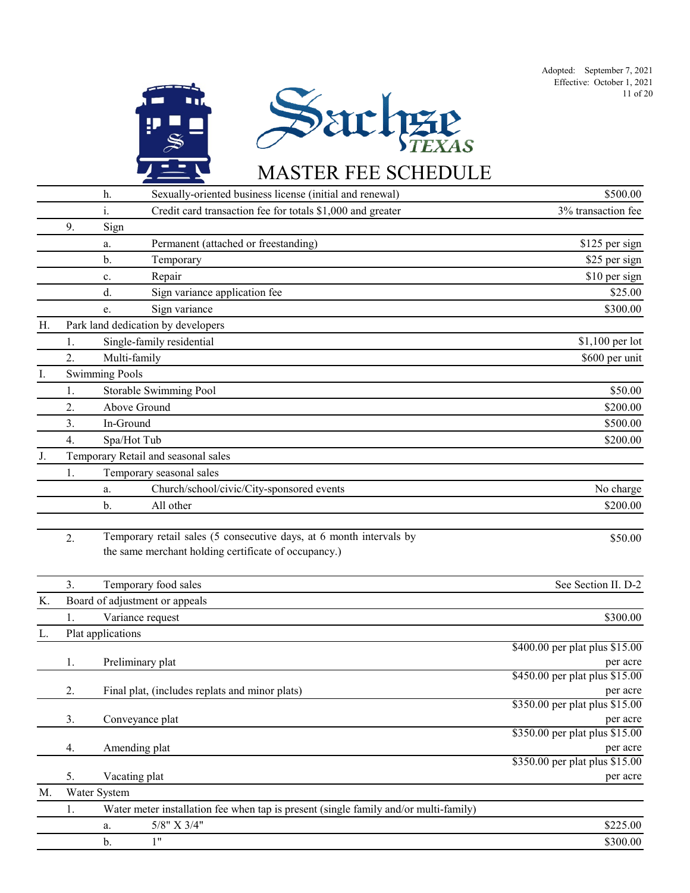Adopted: September 7, 2021 Effective: October 1, 2021 11 of 20





|    |    | h.                                  | Sexually-oriented business license (initial and renewal)                                                                    | \$500.00                                   |
|----|----|-------------------------------------|-----------------------------------------------------------------------------------------------------------------------------|--------------------------------------------|
|    |    | i.                                  | Credit card transaction fee for totals \$1,000 and greater                                                                  | 3% transaction fee                         |
|    | 9. | Sign                                |                                                                                                                             |                                            |
|    |    | a.                                  | Permanent (attached or freestanding)                                                                                        | \$125 per sign                             |
|    |    | b.<br>Temporary                     |                                                                                                                             | \$25 per sign                              |
|    |    | Repair<br>c.                        |                                                                                                                             | \$10 per sign                              |
|    |    | d.                                  | Sign variance application fee                                                                                               | \$25.00                                    |
|    |    | Sign variance<br>e.                 |                                                                                                                             | \$300.00                                   |
| Н. |    | Park land dedication by developers  |                                                                                                                             |                                            |
|    | 1. | Single-family residential           |                                                                                                                             | \$1,100 per lot                            |
|    | 2. | Multi-family                        |                                                                                                                             | \$600 per unit                             |
| I. |    | <b>Swimming Pools</b>               |                                                                                                                             |                                            |
|    | 1. | Storable Swimming Pool              |                                                                                                                             | \$50.00                                    |
|    | 2. | Above Ground                        |                                                                                                                             | \$200.00                                   |
|    | 3. | In-Ground                           |                                                                                                                             | \$500.00                                   |
|    | 4. | Spa/Hot Tub                         |                                                                                                                             | \$200.00                                   |
| J. |    | Temporary Retail and seasonal sales |                                                                                                                             |                                            |
|    | 1. | Temporary seasonal sales            |                                                                                                                             |                                            |
|    |    | a.                                  | Church/school/civic/City-sponsored events                                                                                   | No charge                                  |
|    |    | b.<br>All other                     |                                                                                                                             | \$200.00                                   |
|    |    |                                     |                                                                                                                             |                                            |
|    | 2. |                                     | Temporary retail sales (5 consecutive days, at 6 month intervals by<br>the same merchant holding certificate of occupancy.) | \$50.00                                    |
|    | 3. | Temporary food sales                |                                                                                                                             | See Section II. D-2                        |
| K. |    | Board of adjustment or appeals      |                                                                                                                             |                                            |
|    | 1. | Variance request                    |                                                                                                                             | \$300.00                                   |
| L. |    | Plat applications                   |                                                                                                                             |                                            |
|    |    |                                     |                                                                                                                             | \$400.00 per plat plus \$15.00             |
|    | 1. | Preliminary plat                    |                                                                                                                             | per acre                                   |
|    |    |                                     |                                                                                                                             | \$450.00 per plat plus \$15.00             |
|    | 2. |                                     | Final plat, (includes replats and minor plats)                                                                              | per acre<br>\$350.00 per plat plus \$15.00 |
|    | 3. | Conveyance plat                     |                                                                                                                             | per acre                                   |
|    |    |                                     |                                                                                                                             | \$350.00 per plat plus \$15.00             |
|    | 4. | Amending plat                       |                                                                                                                             | per acre                                   |
|    |    |                                     |                                                                                                                             | \$350.00 per plat plus \$15.00             |
|    | 5. | Vacating plat                       |                                                                                                                             | per acre                                   |
| M. |    | Water System                        |                                                                                                                             |                                            |
|    | 1. |                                     | Water meter installation fee when tap is present (single family and/or multi-family)                                        |                                            |
|    |    | $5/8"$ X 3/4"<br>a.                 |                                                                                                                             | \$225.00                                   |
|    |    | 1"<br>$b$ .                         |                                                                                                                             | \$300.00                                   |
|    |    |                                     |                                                                                                                             |                                            |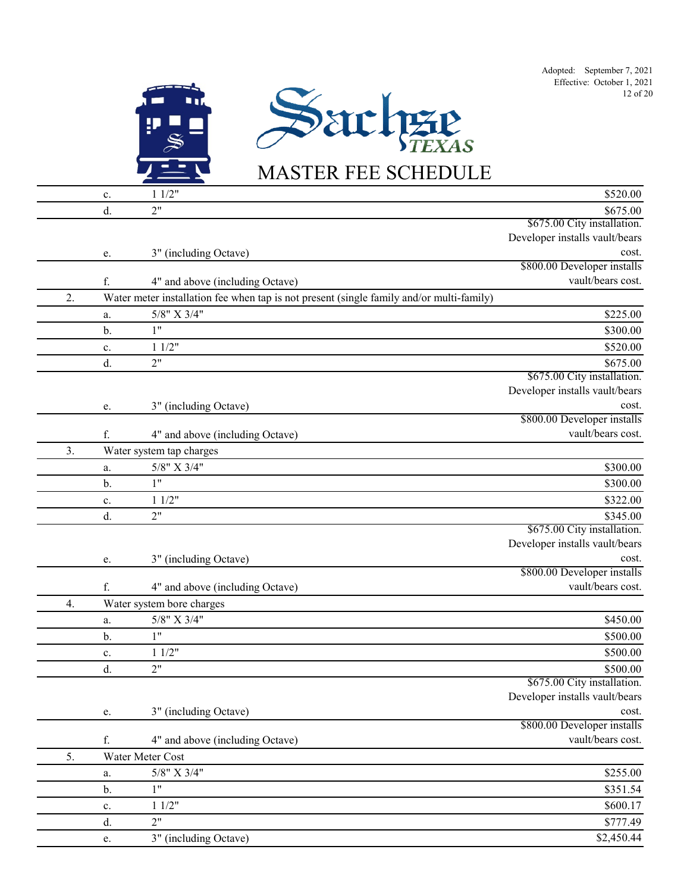Adopted: September 7, 2021 Effective: October 1, 2021 12 of 20





|    | c.            | 11/2"                                                                                    | \$520.00                                         |
|----|---------------|------------------------------------------------------------------------------------------|--------------------------------------------------|
|    | d.            | 2"                                                                                       | \$675.00                                         |
|    |               |                                                                                          | \$675.00 City installation.                      |
|    |               |                                                                                          | Developer installs vault/bears                   |
|    | e.            | 3" (including Octave)                                                                    | cost.                                            |
|    |               |                                                                                          | \$800.00 Developer installs                      |
|    | f.            | 4" and above (including Octave)                                                          | vault/bears cost.                                |
| 2. |               | Water meter installation fee when tap is not present (single family and/or multi-family) |                                                  |
|    | a.            | 5/8" X 3/4"                                                                              | \$225.00                                         |
|    | b.            | 1"                                                                                       | \$300.00                                         |
|    | c.            | 11/2"                                                                                    | \$520.00                                         |
|    | d.            | 2"                                                                                       | \$675.00                                         |
|    |               |                                                                                          | \$675.00 City installation.                      |
|    |               |                                                                                          | Developer installs vault/bears                   |
|    | e.            | 3" (including Octave)                                                                    | cost.                                            |
|    | f.            |                                                                                          | \$800.00 Developer installs                      |
|    |               | 4" and above (including Octave)                                                          | vault/bears cost.                                |
| 3. |               | Water system tap charges                                                                 |                                                  |
|    | a.            | 5/8" X 3/4"                                                                              | \$300.00                                         |
|    | b.            | 1"                                                                                       | \$300.00                                         |
|    | c.            | 11/2"                                                                                    | \$322.00                                         |
|    | d.            | 2"                                                                                       | \$345.00                                         |
|    |               |                                                                                          | \$675.00 City installation.                      |
|    |               |                                                                                          | Developer installs vault/bears                   |
|    | e.            | 3" (including Octave)                                                                    | cost.                                            |
|    | f.            |                                                                                          | \$800.00 Developer installs<br>vault/bears cost. |
|    |               | 4" and above (including Octave)                                                          |                                                  |
| 4. |               | Water system bore charges                                                                |                                                  |
|    | a.            | 5/8" X 3/4"                                                                              | \$450.00                                         |
|    | b.            | 1"                                                                                       | \$500.00                                         |
|    | c.            | 11/2"                                                                                    | \$500.00                                         |
|    | d.            | 2"                                                                                       | \$500.00                                         |
|    |               |                                                                                          | \$675.00 City installation.                      |
|    |               |                                                                                          | Developer installs vault/bears                   |
|    | e.            | 3" (including Octave)                                                                    | cost.<br>\$800.00 Developer installs             |
|    | f.            | 4" and above (including Octave)                                                          | vault/bears cost.                                |
| 5. |               | Water Meter Cost                                                                         |                                                  |
|    |               |                                                                                          |                                                  |
|    | a.            | 5/8" X 3/4"                                                                              | \$255.00                                         |
|    | b.            | 1"                                                                                       | \$351.54                                         |
|    | $\mathbf{c}.$ | 11/2"                                                                                    | \$600.17                                         |
|    | $\mathrm{d}.$ | 2"                                                                                       | \$777.49                                         |
|    | e.            | 3" (including Octave)                                                                    | \$2,450.44                                       |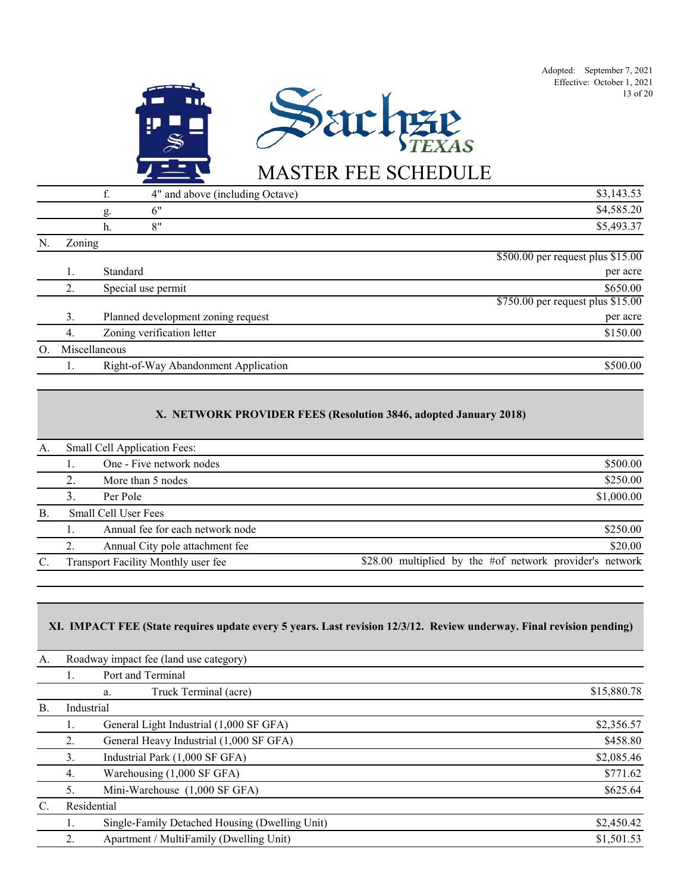Adopted: September 7, 2021 Effective: October 1, 2021 13 of 20



|    |               | 4" and above (including Octave)<br>f. | \$3,143.53                          |
|----|---------------|---------------------------------------|-------------------------------------|
|    |               | 6"<br>g.                              | \$4,585.20                          |
|    |               | 8"<br>h.                              | \$5,493.37                          |
| N. | Zoning        |                                       |                                     |
|    |               |                                       | $$500.00$ per request plus $$15.00$ |
|    | ı.            | Standard                              | per acre                            |
|    | 2.            | Special use permit                    | \$650.00                            |
|    |               |                                       | \$750.00 per request plus \$15.00   |
|    | 3.            | Planned development zoning request    | per acre                            |
|    | 4.            | Zoning verification letter            | \$150.00                            |
| Ο. | Miscellaneous |                                       |                                     |
|    |               | Right-of-Way Abandonment Application  | \$500.00                            |

## **X. NETWORK PROVIDER FEES (Resolution 3846, adopted January 2018)**

| A.                         | <b>Small Cell Application Fees:</b> |                                     |                                                          |  |  |
|----------------------------|-------------------------------------|-------------------------------------|----------------------------------------------------------|--|--|
|                            |                                     | One - Five network nodes            | \$500.00                                                 |  |  |
|                            |                                     | More than 5 nodes                   | \$250.00                                                 |  |  |
|                            |                                     | Per Pole                            | \$1,000.00                                               |  |  |
| Small Cell User Fees<br>В. |                                     |                                     |                                                          |  |  |
|                            |                                     | Annual fee for each network node    | \$250.00                                                 |  |  |
|                            | 2.                                  | Annual City pole attachment fee     | \$20.00                                                  |  |  |
| C.                         |                                     | Transport Facility Monthly user fee | \$28.00 multiplied by the #of network provider's network |  |  |

### **XI. IMPACT FEE (State requires update every 5 years. Last revision 12/3/12. Review underway. Final revision pending)**

| А.             |             | Roadway impact fee (land use category)         |             |  |  |  |
|----------------|-------------|------------------------------------------------|-------------|--|--|--|
|                | Ι.          | Port and Terminal                              |             |  |  |  |
|                |             | Truck Terminal (acre)<br>a.                    | \$15,880.78 |  |  |  |
| <b>B.</b>      |             | Industrial                                     |             |  |  |  |
|                | 1.          | General Light Industrial (1,000 SF GFA)        | \$2,356.57  |  |  |  |
|                | 2.          | General Heavy Industrial (1,000 SF GFA)        | \$458.80    |  |  |  |
|                | 3.          | Industrial Park (1,000 SF GFA)                 | \$2,085.46  |  |  |  |
|                | 4.          | Warehousing (1,000 SF GFA)                     | \$771.62    |  |  |  |
|                | 5.          | Mini-Warehouse (1,000 SF GFA)                  | \$625.64    |  |  |  |
| $\mathbf{C}$ . | Residential |                                                |             |  |  |  |
|                | 1.          | Single-Family Detached Housing (Dwelling Unit) | \$2,450.42  |  |  |  |
|                |             | Apartment / MultiFamily (Dwelling Unit)        | \$1,501.53  |  |  |  |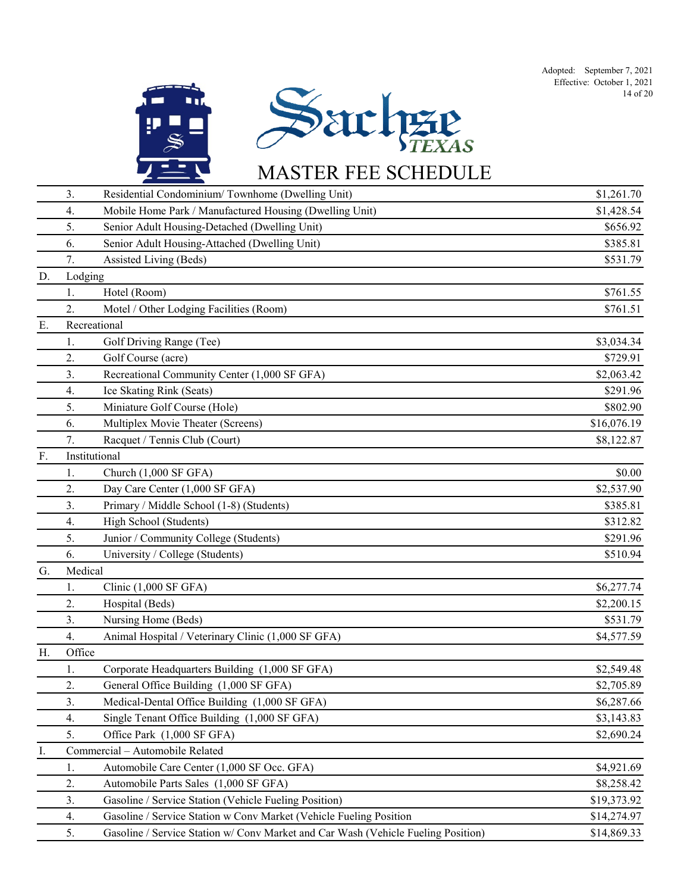Adopted: September 7, 2021 Effective: October 1, 2021 14 of 20





|    | 3.            | Residential Condominium/Townhome (Dwelling Unit)                                  | \$1,261.70  |  |  |  |  |
|----|---------------|-----------------------------------------------------------------------------------|-------------|--|--|--|--|
|    | 4.            | Mobile Home Park / Manufactured Housing (Dwelling Unit)                           | \$1,428.54  |  |  |  |  |
|    | 5.            | Senior Adult Housing-Detached (Dwelling Unit)                                     | \$656.92    |  |  |  |  |
|    | 6.            | Senior Adult Housing-Attached (Dwelling Unit)                                     | \$385.81    |  |  |  |  |
|    | 7.            | Assisted Living (Beds)                                                            | \$531.79    |  |  |  |  |
| D. | Lodging       |                                                                                   |             |  |  |  |  |
|    | 1.            | Hotel (Room)                                                                      | \$761.55    |  |  |  |  |
|    | 2.            | Motel / Other Lodging Facilities (Room)                                           | \$761.51    |  |  |  |  |
| Ε. |               | Recreational                                                                      |             |  |  |  |  |
|    | 1.            | Golf Driving Range (Tee)                                                          | \$3,034.34  |  |  |  |  |
|    | 2.            | Golf Course (acre)                                                                | \$729.91    |  |  |  |  |
|    | 3.            | Recreational Community Center (1,000 SF GFA)                                      | \$2,063.42  |  |  |  |  |
|    | 4.            | Ice Skating Rink (Seats)                                                          | \$291.96    |  |  |  |  |
|    | 5.            | Miniature Golf Course (Hole)                                                      | \$802.90    |  |  |  |  |
|    | 6.            | Multiplex Movie Theater (Screens)                                                 | \$16,076.19 |  |  |  |  |
|    | 7.            | Racquet / Tennis Club (Court)                                                     | \$8,122.87  |  |  |  |  |
| F. | Institutional |                                                                                   |             |  |  |  |  |
|    | 1.            | Church (1,000 SF GFA)                                                             | \$0.00      |  |  |  |  |
|    | 2.            | Day Care Center (1,000 SF GFA)                                                    | \$2,537.90  |  |  |  |  |
|    | 3.            | Primary / Middle School (1-8) (Students)                                          | \$385.81    |  |  |  |  |
|    | 4.            | High School (Students)                                                            | \$312.82    |  |  |  |  |
|    | 5.            | Junior / Community College (Students)                                             | \$291.96    |  |  |  |  |
|    | 6.            | University / College (Students)                                                   | \$510.94    |  |  |  |  |
| G. |               | Medical                                                                           |             |  |  |  |  |
|    | 1.            | Clinic $(1,000$ SF GFA)                                                           | \$6,277.74  |  |  |  |  |
|    | 2.            | Hospital (Beds)                                                                   | \$2,200.15  |  |  |  |  |
|    | 3.            | Nursing Home (Beds)                                                               | \$531.79    |  |  |  |  |
|    | 4.            | Animal Hospital / Veterinary Clinic (1,000 SF GFA)                                | \$4,577.59  |  |  |  |  |
| Η. | Office        |                                                                                   |             |  |  |  |  |
|    | 1.            | Corporate Headquarters Building (1,000 SF GFA)                                    | \$2,549.48  |  |  |  |  |
|    | 2.            | General Office Building (1,000 SF GFA)                                            | \$2,705.89  |  |  |  |  |
|    | 3.            | Medical-Dental Office Building (1,000 SF GFA)                                     | \$6,287.66  |  |  |  |  |
|    | 4.            | Single Tenant Office Building (1,000 SF GFA)                                      | \$3,143.83  |  |  |  |  |
|    | 5.            | Office Park (1,000 SF GFA)                                                        | \$2,690.24  |  |  |  |  |
| I. |               | Commercial - Automobile Related                                                   |             |  |  |  |  |
|    | 1.            | Automobile Care Center (1,000 SF Occ. GFA)                                        | \$4,921.69  |  |  |  |  |
|    | 2.            | Automobile Parts Sales (1,000 SF GFA)                                             | \$8,258.42  |  |  |  |  |
|    | 3.            | Gasoline / Service Station (Vehicle Fueling Position)                             | \$19,373.92 |  |  |  |  |
|    | 4.            | Gasoline / Service Station w Conv Market (Vehicle Fueling Position                | \$14,274.97 |  |  |  |  |
|    | 5.            | Gasoline / Service Station w/ Conv Market and Car Wash (Vehicle Fueling Position) | \$14,869.33 |  |  |  |  |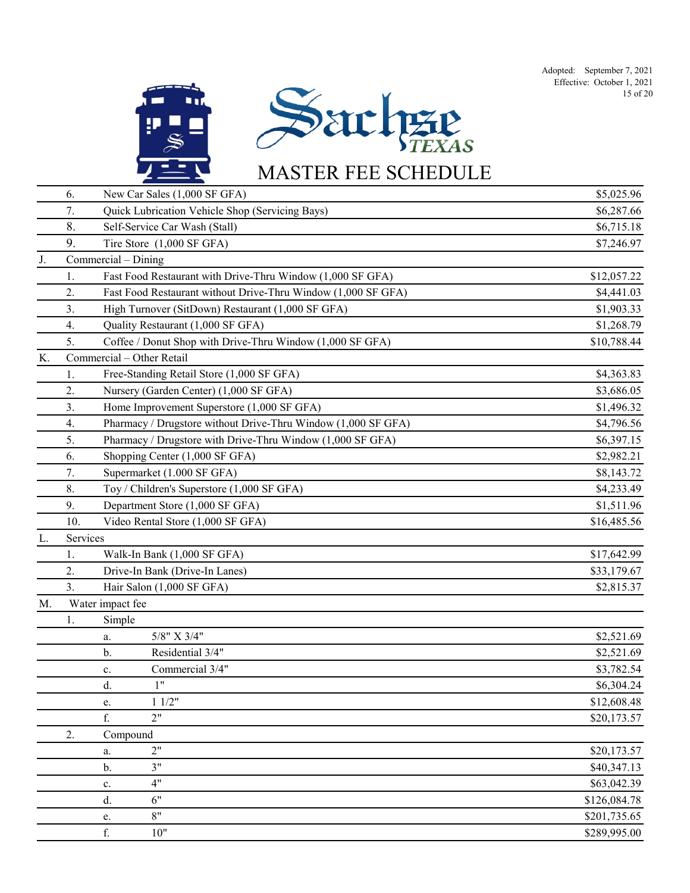Adopted: September 7, 2021 Effective: October 1, 2021 15 of 20





|    | 6.       | New Car Sales (1,000 SF GFA)                                  | \$5,025.96   |  |  |  |
|----|----------|---------------------------------------------------------------|--------------|--|--|--|
|    | 7.       | Quick Lubrication Vehicle Shop (Servicing Bays)               | \$6,287.66   |  |  |  |
|    | 8.       | Self-Service Car Wash (Stall)                                 | \$6,715.18   |  |  |  |
|    | 9.       | Tire Store (1,000 SF GFA)                                     | \$7,246.97   |  |  |  |
| J. |          | Commercial - Dining                                           |              |  |  |  |
|    | 1.       | Fast Food Restaurant with Drive-Thru Window (1,000 SF GFA)    | \$12,057.22  |  |  |  |
|    | 2.       | Fast Food Restaurant without Drive-Thru Window (1,000 SF GFA) | \$4,441.03   |  |  |  |
|    | 3.       | High Turnover (SitDown) Restaurant (1,000 SF GFA)             | \$1,903.33   |  |  |  |
|    | 4.       | Quality Restaurant (1,000 SF GFA)                             | \$1,268.79   |  |  |  |
|    | 5.       | Coffee / Donut Shop with Drive-Thru Window (1,000 SF GFA)     | \$10,788.44  |  |  |  |
| K. |          | Commercial - Other Retail                                     |              |  |  |  |
|    | 1.       | Free-Standing Retail Store (1,000 SF GFA)                     | \$4,363.83   |  |  |  |
|    | 2.       | Nursery (Garden Center) (1,000 SF GFA)                        | \$3,686.05   |  |  |  |
|    | 3.       | Home Improvement Superstore (1,000 SF GFA)                    | \$1,496.32   |  |  |  |
|    | 4.       | Pharmacy / Drugstore without Drive-Thru Window (1,000 SF GFA) | \$4,796.56   |  |  |  |
|    | 5.       | Pharmacy / Drugstore with Drive-Thru Window (1,000 SF GFA)    | \$6,397.15   |  |  |  |
|    | 6.       | Shopping Center (1,000 SF GFA)                                | \$2,982.21   |  |  |  |
|    | 7.       | Supermarket (1.000 SF GFA)                                    | \$8,143.72   |  |  |  |
|    | 8.       | Toy / Children's Superstore (1,000 SF GFA)<br>\$4,233.49      |              |  |  |  |
|    | 9.       | Department Store (1,000 SF GFA)                               | \$1,511.96   |  |  |  |
|    | 10.      | Video Rental Store (1,000 SF GFA)                             | \$16,485.56  |  |  |  |
| L. | Services |                                                               |              |  |  |  |
|    | 1.       | Walk-In Bank (1,000 SF GFA)                                   | \$17,642.99  |  |  |  |
|    | 2.       | Drive-In Bank (Drive-In Lanes)                                | \$33,179.67  |  |  |  |
|    | 3.       | Hair Salon (1,000 SF GFA)                                     |              |  |  |  |
| M. |          | Water impact fee                                              |              |  |  |  |
|    | 1.       | Simple                                                        |              |  |  |  |
|    |          | 5/8" X 3/4"<br>a.                                             | \$2,521.69   |  |  |  |
|    |          | Residential 3/4"<br>b.                                        | \$2,521.69   |  |  |  |
|    |          | Commercial 3/4"<br>c.                                         | \$3,782.54   |  |  |  |
|    |          | 1"<br>d.                                                      | \$6,304.24   |  |  |  |
|    |          | 11/2"<br>e.                                                   | \$12,608.48  |  |  |  |
|    |          | f.<br>2"                                                      | \$20,173.57  |  |  |  |
|    | 2.       | Compound                                                      |              |  |  |  |
|    |          | 2"<br>a.                                                      | \$20,173.57  |  |  |  |
|    |          | 3"<br>b.                                                      | \$40,347.13  |  |  |  |
|    |          | 4"<br>$\mathbf{c}.$                                           | \$63,042.39  |  |  |  |
|    |          | 6"<br>d.                                                      | \$126,084.78 |  |  |  |
|    |          | 8"<br>e.                                                      | \$201,735.65 |  |  |  |
|    |          | ${\rm f.}$<br>10"                                             | \$289,995.00 |  |  |  |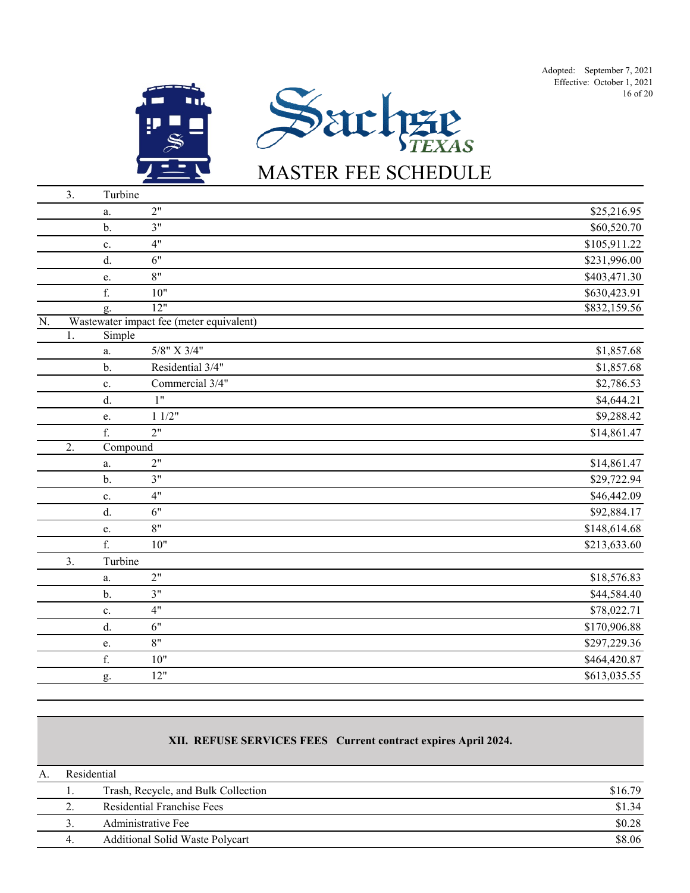Adopted: September 7, 2021 Effective: October 1, 2021 16 of 20





|    | 3.               | Turbine        |                                          |              |
|----|------------------|----------------|------------------------------------------|--------------|
|    |                  | a.             | 2"                                       | \$25,216.95  |
|    |                  | $b$ .          | 3"                                       | \$60,520.70  |
|    |                  | $\mathbf{c}.$  | 4"                                       | \$105,911.22 |
|    |                  | $\mathbf{d}$ . | 6"                                       | \$231,996.00 |
|    |                  | e.             | 8"                                       | \$403,471.30 |
|    |                  | f.             | $10"$                                    | \$630,423.91 |
|    |                  | g.             | 12"                                      | \$832,159.56 |
| N. |                  |                | Wastewater impact fee (meter equivalent) |              |
|    | 1.               | Simple         |                                          |              |
|    |                  | a.             | $5/8"$ X $3/4"$                          | \$1,857.68   |
|    |                  | $b$ .          | Residential 3/4"                         | \$1,857.68   |
|    |                  | c.             | Commercial 3/4"                          | \$2,786.53   |
|    |                  | $\mathbf{d}$ . | 1"                                       | \$4,644.21   |
|    |                  | e.             | 11/2"                                    | \$9,288.42   |
|    |                  | f.             | 2"                                       | \$14,861.47  |
|    | $\overline{2}$ . | Compound       |                                          |              |
|    |                  | a.             | 2"                                       | \$14,861.47  |
|    |                  | b.             | 3"                                       | \$29,722.94  |
|    |                  | $\mathbf{c}.$  | 4"                                       | \$46,442.09  |
|    |                  | $\mathrm{d}.$  | 6"                                       | \$92,884.17  |
|    |                  | e.             | 8"                                       | \$148,614.68 |
|    |                  | f.             | 10"                                      | \$213,633.60 |
|    | 3.               | Turbine        |                                          |              |
|    |                  | a.             | 2"                                       | \$18,576.83  |
|    |                  | $b$ .          | 3"                                       | \$44,584.40  |
|    |                  | $\mathbf{c}.$  | 4"                                       | \$78,022.71  |
|    |                  | $\mathrm{d}.$  | 6"                                       | \$170,906.88 |
|    |                  | e.             | 8"                                       | \$297,229.36 |
|    |                  | ${\bf f}.$     | $10"$                                    | \$464,420.87 |
|    |                  | g.             | $12"$                                    | \$613,035.55 |

## **XII. REFUSE SERVICES FEES Current contract expires April 2024.**

| Α. | Residential |                                     |         |  |  |
|----|-------------|-------------------------------------|---------|--|--|
|    | 1.          | Trash, Recycle, and Bulk Collection | \$16.79 |  |  |
|    |             | Residential Franchise Fees          | \$1.34  |  |  |
|    |             | Administrative Fee                  | \$0.28  |  |  |
|    |             | Additional Solid Waste Polycart     | \$8.06  |  |  |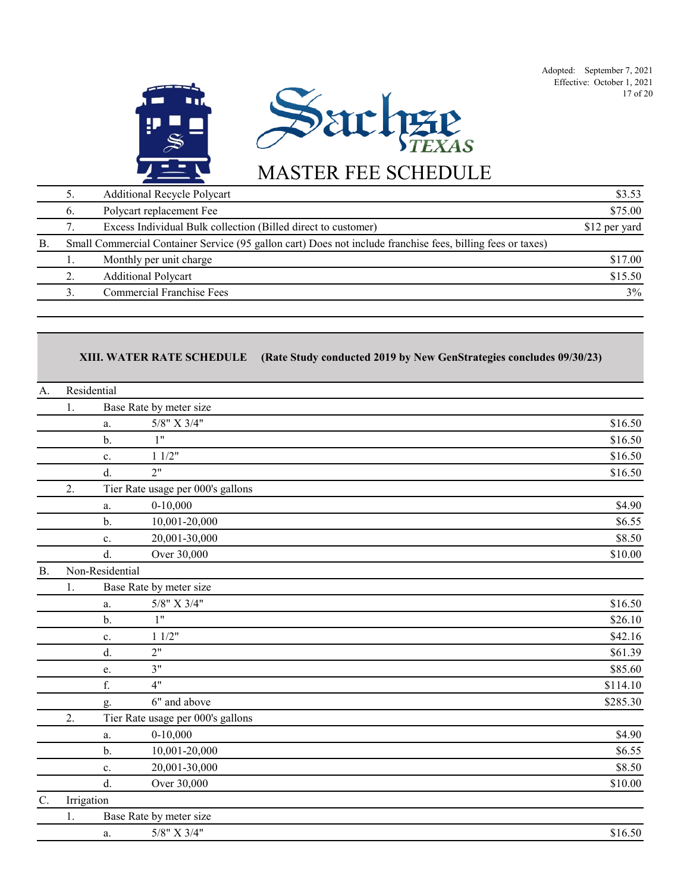Adopted: September 7, 2021 Effective: October 1, 2021 17 of 20



|    |                | <b>Additional Recycle Polycart</b>                                                                          | \$3.53        |
|----|----------------|-------------------------------------------------------------------------------------------------------------|---------------|
|    | $\mathbf{b}$ . | Polycart replacement Fee                                                                                    | \$75.00       |
|    |                | Excess Individual Bulk collection (Billed direct to customer)                                               | \$12 per yard |
| В. |                | Small Commercial Container Service (95 gallon cart) Does not include franchise fees, billing fees or taxes) |               |
|    |                | Monthly per unit charge                                                                                     | \$17.00       |
|    |                | <b>Additional Polycart</b>                                                                                  | \$15.50       |
|    |                | <b>Commercial Franchise Fees</b>                                                                            | 3%            |
|    |                |                                                                                                             |               |

### **XIII. WATER RATE SCHEDULE (Rate Study conducted 2019 by New GenStrategies concludes 09/30/23)**

| A.        | Residential     |                                   |                                   |          |  |
|-----------|-----------------|-----------------------------------|-----------------------------------|----------|--|
|           | 1.              | Base Rate by meter size           |                                   |          |  |
|           |                 | a.                                | 5/8" X 3/4"                       | \$16.50  |  |
|           |                 | b.                                | 1"                                | \$16.50  |  |
|           |                 | c.                                | 11/2"                             | \$16.50  |  |
|           |                 | d.                                | 2"                                | \$16.50  |  |
|           | 2.              |                                   | Tier Rate usage per 000's gallons |          |  |
|           |                 | a.                                | $0-10,000$                        | \$4.90   |  |
|           |                 | b.                                | 10,001-20,000                     | \$6.55   |  |
|           |                 | c.                                | 20,001-30,000                     | \$8.50   |  |
|           |                 | d.                                | Over 30,000                       | \$10.00  |  |
| <b>B.</b> | Non-Residential |                                   |                                   |          |  |
|           | 1.              | Base Rate by meter size           |                                   |          |  |
|           |                 | a.                                | $5/8"$ X $3/4"$                   | \$16.50  |  |
|           |                 | b.                                | 1"                                | \$26.10  |  |
|           |                 | c.                                | 11/2"                             | \$42.16  |  |
|           |                 | d.                                | 2"                                | \$61.39  |  |
|           |                 | e.                                | 3"                                | \$85.60  |  |
|           |                 | f.                                | 4"                                | \$114.10 |  |
|           |                 | g.                                | 6" and above                      | \$285.30 |  |
|           | 2.              | Tier Rate usage per 000's gallons |                                   |          |  |
|           |                 | a.                                | $0-10,000$                        | \$4.90   |  |
|           |                 | b.                                | 10,001-20,000                     | \$6.55   |  |
|           |                 | c.                                | 20,001-30,000                     | \$8.50   |  |
|           |                 | d.                                | Over 30,000                       | \$10.00  |  |
| C.        | Irrigation      |                                   |                                   |          |  |
|           | 1.              | Base Rate by meter size           |                                   |          |  |
|           |                 | a.                                | $5/8$ " X $3/4$ "                 | \$16.50  |  |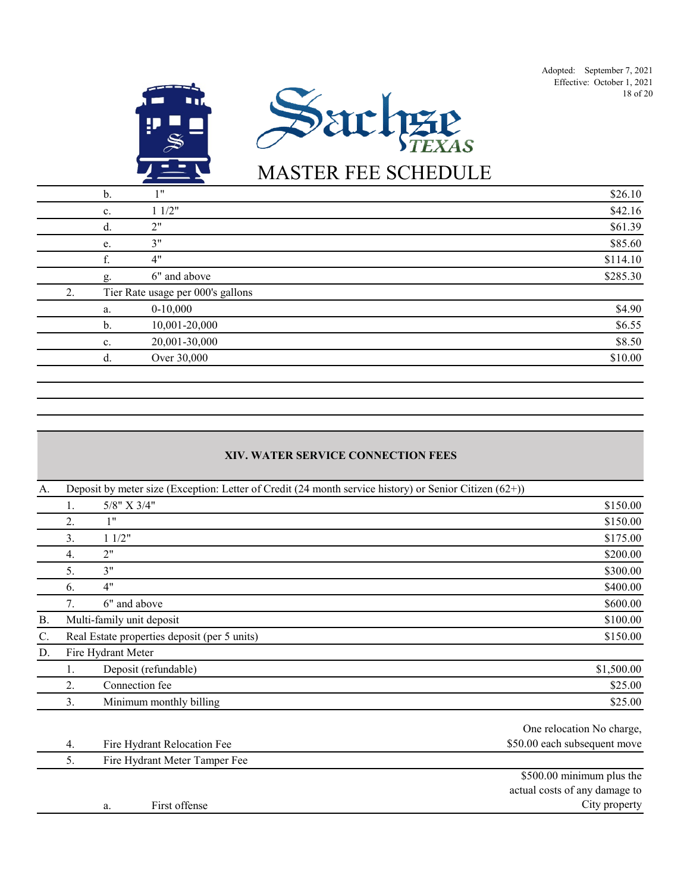Adopted: September 7, 2021 Effective: October 1, 2021 18 of 20





|    | b. | 1 <sub>1</sub>                    | \$26.10  |
|----|----|-----------------------------------|----------|
|    | c. | 11/2"                             | \$42.16  |
|    | d. | 2"                                | \$61.39  |
|    | e. | 3"                                | \$85.60  |
|    | f. | 4"                                | \$114.10 |
|    | g. | 6" and above                      | \$285.30 |
| 2. |    | Tier Rate usage per 000's gallons |          |
|    | a. | $0-10,000$                        | \$4.90   |
|    | b. | 10,001-20,000                     | \$6.55   |
|    | c. | 20,001-30,000                     | \$8.50   |
|    | d. | Over 30,000                       | \$10.00  |
|    |    |                                   |          |

## **XIV. WATER SERVICE CONNECTION FEES**

| А.        |                                                          | Deposit by meter size (Exception: Letter of Credit (24 month service history) or Senior Citizen (62+)) |                               |  |  |
|-----------|----------------------------------------------------------|--------------------------------------------------------------------------------------------------------|-------------------------------|--|--|
|           | 1.                                                       | $5/8"$ X 3/4"                                                                                          | \$150.00                      |  |  |
|           | 2.                                                       | 1"                                                                                                     | \$150.00                      |  |  |
|           | 3.                                                       | 11/2"                                                                                                  | \$175.00                      |  |  |
|           | 4.                                                       | 2"                                                                                                     | \$200.00                      |  |  |
|           | 5.                                                       | 3"                                                                                                     | \$300.00                      |  |  |
|           | 6.                                                       | 4"                                                                                                     | \$400.00                      |  |  |
|           | 7.                                                       | 6" and above                                                                                           | \$600.00                      |  |  |
| <b>B.</b> | Multi-family unit deposit                                |                                                                                                        |                               |  |  |
| C.        | \$150.00<br>Real Estate properties deposit (per 5 units) |                                                                                                        |                               |  |  |
| D.        | Fire Hydrant Meter                                       |                                                                                                        |                               |  |  |
|           | 1.                                                       | Deposit (refundable)                                                                                   | \$1,500.00                    |  |  |
|           | 2.                                                       | Connection fee                                                                                         | \$25.00                       |  |  |
|           | 3.                                                       | Minimum monthly billing                                                                                | \$25.00                       |  |  |
|           |                                                          |                                                                                                        | One relocation No charge,     |  |  |
|           | 4.                                                       | Fire Hydrant Relocation Fee                                                                            | \$50.00 each subsequent move  |  |  |
|           | 5.                                                       | Fire Hydrant Meter Tamper Fee                                                                          |                               |  |  |
|           |                                                          |                                                                                                        | \$500.00 minimum plus the     |  |  |
|           |                                                          |                                                                                                        | actual costs of any damage to |  |  |
|           |                                                          | First offense<br>a.                                                                                    | City property                 |  |  |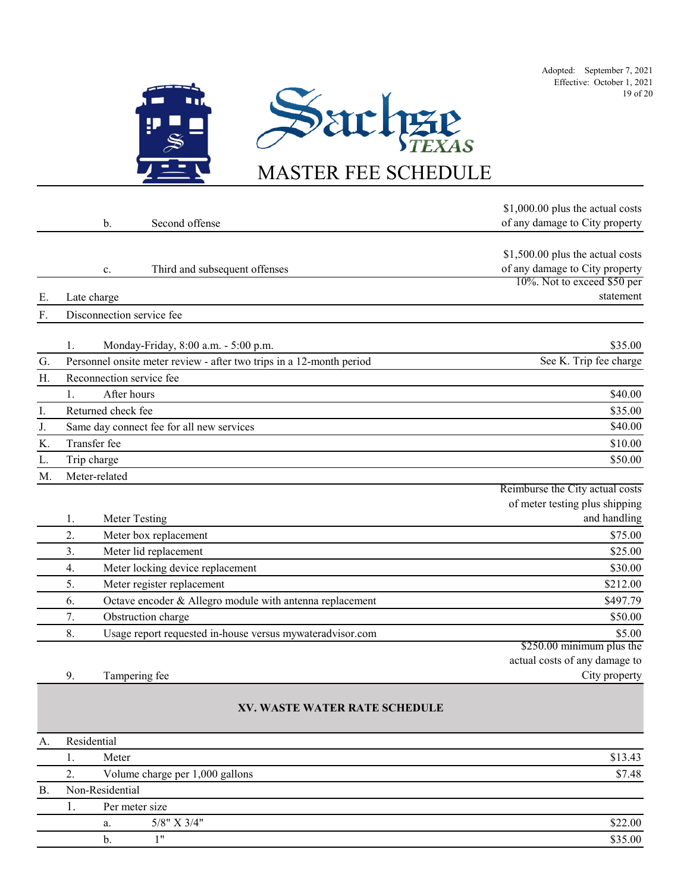Adopted: September 7, 2021 Effective: October 1, 2021 19 of 20





|    |                                                      |                                                                      | \$1,000.00 plus the actual costs |  |
|----|------------------------------------------------------|----------------------------------------------------------------------|----------------------------------|--|
|    |                                                      | b.<br>Second offense                                                 | of any damage to City property   |  |
|    |                                                      |                                                                      |                                  |  |
|    |                                                      |                                                                      | \$1,500.00 plus the actual costs |  |
|    |                                                      | Third and subsequent offenses<br>c.                                  | of any damage to City property   |  |
|    |                                                      |                                                                      | 10%. Not to exceed \$50 per      |  |
| E. |                                                      | Late charge                                                          | statement                        |  |
| F. |                                                      | Disconnection service fee                                            |                                  |  |
|    | 1.                                                   | Monday-Friday, 8:00 a.m. - 5:00 p.m.                                 | \$35.00                          |  |
| G. |                                                      | Personnel onsite meter review - after two trips in a 12-month period | See K. Trip fee charge           |  |
| Н. |                                                      | Reconnection service fee                                             |                                  |  |
|    | 1.                                                   | After hours                                                          | \$40.00                          |  |
|    |                                                      |                                                                      |                                  |  |
| I. | Returned check fee<br>\$35.00                        |                                                                      |                                  |  |
| J. | \$40.00<br>Same day connect fee for all new services |                                                                      |                                  |  |
| K. | Transfer fee<br>\$10.00                              |                                                                      |                                  |  |
| L. | \$50.00<br>Trip charge                               |                                                                      |                                  |  |
| M. |                                                      | Meter-related                                                        |                                  |  |
|    |                                                      |                                                                      | Reimburse the City actual costs  |  |
|    |                                                      |                                                                      | of meter testing plus shipping   |  |
|    | 1.                                                   | Meter Testing                                                        | and handling                     |  |
|    | 2.                                                   | Meter box replacement                                                | \$75.00                          |  |
|    | 3.                                                   | Meter lid replacement                                                | \$25.00                          |  |
|    | 4.                                                   | Meter locking device replacement                                     | \$30.00                          |  |
|    | 5.                                                   | Meter register replacement                                           | \$212.00                         |  |
|    | 6.                                                   | Octave encoder & Allegro module with antenna replacement             | \$497.79                         |  |
|    | 7.                                                   | Obstruction charge                                                   | \$50.00                          |  |
|    | 8.                                                   | Usage report requested in-house versus mywateradvisor.com            | \$5.00                           |  |
|    |                                                      |                                                                      | \$250.00 minimum plus the        |  |
|    |                                                      |                                                                      | actual costs of any damage to    |  |
|    | 9.                                                   | Tampering fee                                                        | City property                    |  |
|    |                                                      | <b>XV. WASTE WATER RATE SCHEDULE</b>                                 |                                  |  |

| A.        | Residential     |       |                                 |         |
|-----------|-----------------|-------|---------------------------------|---------|
|           |                 | Meter |                                 | \$13.43 |
|           | 2.              |       | Volume charge per 1,000 gallons | \$7.48  |
| <b>B.</b> | Non-Residential |       |                                 |         |
|           | Per meter size  |       |                                 |         |
|           |                 | a.    | $5/8$ " X $3/4$ "               | \$22.00 |
|           |                 | b.    | 1 11                            | \$35.00 |